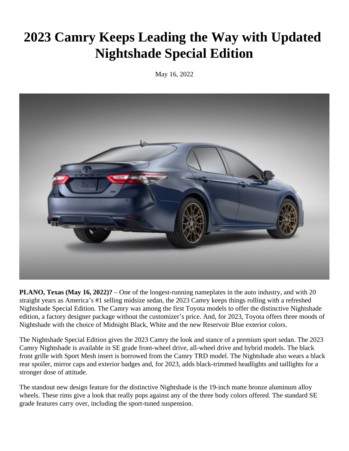# **2023 Camry Keeps Leading the Way with Updated Nightshade Special Edition**

May 16, 2022



**PLANO, Texas (May 16, 2022)?** – One of the longest-running nameplates in the auto industry, and with 20 straight years as America's #1 selling midsize sedan, the 2023 Camry keeps things rolling with a refreshed Nightshade Special Edition. The Camry was among the first Toyota models to offer the distinctive Nightshade edition, a factory designer package without the customizer's price. And, for 2023, Toyota offers three moods of Nightshade with the choice of Midnight Black, White and the new Reservoir Blue exterior colors.

The Nightshade Special Edition gives the 2023 Camry the look and stance of a premium sport sedan. The 2023 Camry Nightshade is available in SE grade front-wheel drive, all-wheel drive and hybrid models. The black front grille with Sport Mesh insert is borrowed from the Camry TRD model. The Nightshade also wears a black rear spoiler, mirror caps and exterior badges and, for 2023, adds black-trimmed headlights and taillights for a stronger dose of attitude.

The standout new design feature for the distinctive Nightshade is the 19-inch matte bronze aluminum alloy wheels. These rims give a look that really pops against any of the three body colors offered. The standard SE grade features carry over, including the sport-tuned suspension.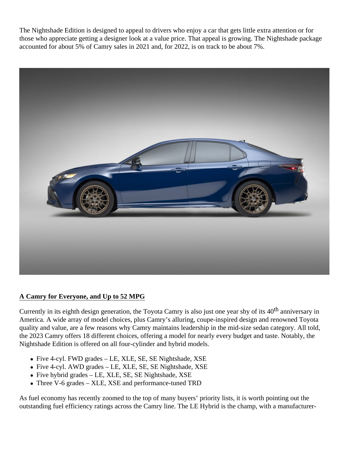The Nightshade Edition is designed to appeal to drivers who enjoy a car that gets little extra attention or for those who appreciate getting a designer look at a value price. That appeal is growing. The Nightshade package accounted for about 5% of Camry sales in 2021 and, for 2022, is on track to be about 7%.



# **A Camry for Everyone, and Up to 52 MPG**

Currently in its eighth design generation, the Toyota Camry is also just one year shy of its 40<sup>th</sup> anniversary in America. A wide array of model choices, plus Camry's alluring, coupe-inspired design and renowned Toyota quality and value, are a few reasons why Camry maintains leadership in the mid-size sedan category. All told, the 2023 Camry offers 18 different choices, offering a model for nearly every budget and taste. Notably, the Nightshade Edition is offered on all four-cylinder and hybrid models.

- Five 4-cyl. FWD grades LE, XLE, SE, SE Nightshade, XSE
- Five 4-cyl. AWD grades LE, XLE, SE, SE Nightshade, XSE
- Five hybrid grades LE, XLE, SE, SE Nightshade, XSE
- Three V-6 grades XLE, XSE and performance-tuned TRD

As fuel economy has recently zoomed to the top of many buyers' priority lists, it is worth pointing out the outstanding fuel efficiency ratings across the Camry line. The LE Hybrid is the champ, with a manufacturer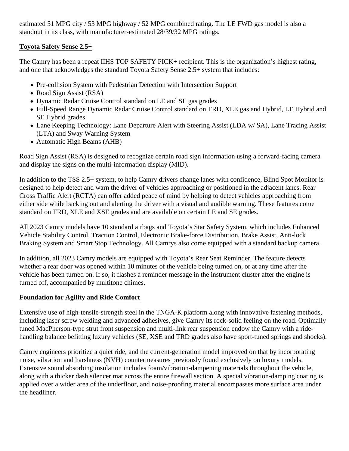estimated 51 MPG city / 53 MPG highway / 52 MPG combined rating. The LE FWD gas model is also a standout in its class, with manufacturer-estimated 28/39/32 MPG ratings.

# **Toyota Safety Sense 2.5+**

The Camry has been a repeat IIHS TOP SAFETY PICK+ recipient. This is the organization's highest rating, and one that acknowledges the standard Toyota Safety Sense 2.5+ system that includes:

- Pre-collision System with Pedestrian Detection with Intersection Support
- Road Sign Assist (RSA)
- Dynamic Radar Cruise Control standard on LE and SE gas grades
- Full-Speed Range Dynamic Radar Cruise Control standard on TRD, XLE gas and Hybrid, LE Hybrid and SE Hybrid grades
- Lane Keeping Technology: Lane Departure Alert with Steering Assist (LDA w/ SA), Lane Tracing Assist (LTA) and Sway Warning System
- Automatic High Beams (AHB)

Road Sign Assist (RSA) is designed to recognize certain road sign information using a forward-facing camera and display the signs on the multi-information display (MID).

In addition to the TSS 2.5+ system, to help Camry drivers change lanes with confidence, Blind Spot Monitor is designed to help detect and warn the driver of vehicles approaching or positioned in the adjacent lanes. Rear Cross Traffic Alert (RCTA) can offer added peace of mind by helping to detect vehicles approaching from either side while backing out and alerting the driver with a visual and audible warning. These features come standard on TRD, XLE and XSE grades and are available on certain LE and SE grades.

All 2023 Camry models have 10 standard airbags and Toyota's Star Safety System, which includes Enhanced Vehicle Stability Control, Traction Control, Electronic Brake-force Distribution, Brake Assist, Anti-lock Braking System and Smart Stop Technology. All Camrys also come equipped with a standard backup camera.

In addition, all 2023 Camry models are equipped with Toyota's Rear Seat Reminder. The feature detects whether a rear door was opened within 10 minutes of the vehicle being turned on, or at any time after the vehicle has been turned on. If so, it flashes a reminder message in the instrument cluster after the engine is turned off, accompanied by multitone chimes.

# **Foundation for Agility and Ride Comfort**

Extensive use of high-tensile-strength steel in the TNGA-K platform along with innovative fastening methods, including laser screw welding and advanced adhesives, give Camry its rock-solid feeling on the road. Optimally tuned MacPherson-type strut front suspension and multi-link rear suspension endow the Camry with a ridehandling balance befitting luxury vehicles (SE, XSE and TRD grades also have sport-tuned springs and shocks).

Camry engineers prioritize a quiet ride, and the current-generation model improved on that by incorporating noise, vibration and harshness (NVH) countermeasures previously found exclusively on luxury models. Extensive sound absorbing insulation includes foam/vibration-dampening materials throughout the vehicle, along with a thicker dash silencer mat across the entire firewall section. A special vibration-damping coating is applied over a wider area of the underfloor, and noise-proofing material encompasses more surface area under the headliner.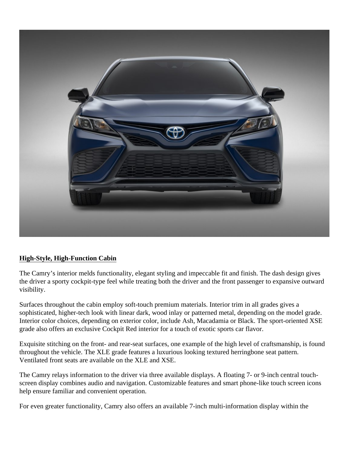

# **High-Style, High-Function Cabin**

The Camry's interior melds functionality, elegant styling and impeccable fit and finish. The dash design gives the driver a sporty cockpit-type feel while treating both the driver and the front passenger to expansive outward visibility.

Surfaces throughout the cabin employ soft-touch premium materials. Interior trim in all grades gives a sophisticated, higher-tech look with linear dark, wood inlay or patterned metal, depending on the model grade. Interior color choices, depending on exterior color, include Ash, Macadamia or Black. The sport-oriented XSE grade also offers an exclusive Cockpit Red interior for a touch of exotic sports car flavor.

Exquisite stitching on the front- and rear-seat surfaces, one example of the high level of craftsmanship, is found throughout the vehicle. The XLE grade features a luxurious looking textured herringbone seat pattern. Ventilated front seats are available on the XLE and XSE.

The Camry relays information to the driver via three available displays. A floating 7- or 9-inch central touchscreen display combines audio and navigation. Customizable features and smart phone-like touch screen icons help ensure familiar and convenient operation.

For even greater functionality, Camry also offers an available 7-inch multi-information display within the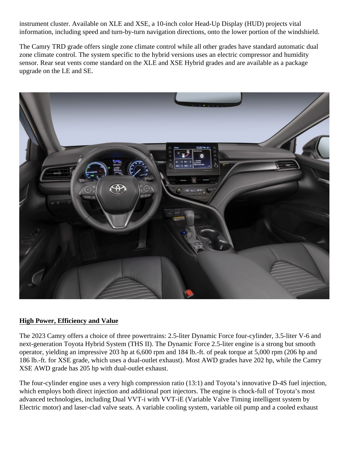instrument cluster. Available on XLE and XSE, a 10-inch color Head-Up Display (HUD) projects vital information, including speed and turn-by-turn navigation directions, onto the lower portion of the windshield.

The Camry TRD grade offers single zone climate control while all other grades have standard automatic dual zone climate control. The system specific to the hybrid versions uses an electric compressor and humidity sensor. Rear seat vents come standard on the XLE and XSE Hybrid grades and are available as a package upgrade on the LE and SE.



# **High Power, Efficiency and Value**

The 2023 Camry offers a choice of three powertrains: 2.5-liter Dynamic Force four-cylinder, 3.5-liter V-6 and next-generation Toyota Hybrid System (THS II). The Dynamic Force 2.5-liter engine is a strong but smooth operator, yielding an impressive 203 hp at 6,600 rpm and 184 lb.-ft. of peak torque at 5,000 rpm (206 hp and 186 lb.-ft. for XSE grade, which uses a dual-outlet exhaust). Most AWD grades have 202 hp, while the Camry XSE AWD grade has 205 hp with dual-outlet exhaust.

The four-cylinder engine uses a very high compression ratio (13:1) and Toyota's innovative D-4S fuel injection, which employs both direct injection and additional port injectors. The engine is chock-full of Toyota's most advanced technologies, including Dual VVT-i with VVT-iE (Variable Valve Timing intelligent system by Electric motor) and laser-clad valve seats. A variable cooling system, variable oil pump and a cooled exhaust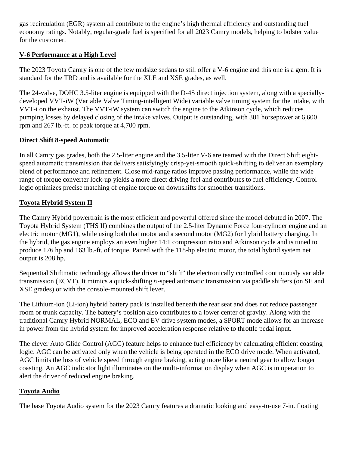gas recirculation (EGR) system all contribute to the engine's high thermal efficiency and outstanding fuel economy ratings. Notably, regular-grade fuel is specified for all 2023 Camry models, helping to bolster value for the customer.

# **V-6 Performance at a High Level**

The 2023 Toyota Camry is one of the few midsize sedans to still offer a V-6 engine and this one is a gem. It is standard for the TRD and is available for the XLE and XSE grades, as well.

The 24-valve, DOHC 3.5-liter engine is equipped with the D-4S direct injection system, along with a speciallydeveloped VVT-iW (Variable Valve Timing-intelligent Wide) variable valve timing system for the intake, with VVT-i on the exhaust. The VVT-iW system can switch the engine to the Atkinson cycle, which reduces pumping losses by delayed closing of the intake valves. Output is outstanding, with 301 horsepower at 6,600 rpm and 267 lb.-ft. of peak torque at 4,700 rpm.

#### **Direct Shift 8-speed Automatic**

In all Camry gas grades, both the 2.5-liter engine and the 3.5-liter V-6 are teamed with the Direct Shift eightspeed automatic transmission that delivers satisfyingly crisp-yet-smooth quick-shifting to deliver an exemplary blend of performance and refinement. Close mid-range ratios improve passing performance, while the wide range of torque converter lock-up yields a more direct driving feel and contributes to fuel efficiency. Control logic optimizes precise matching of engine torque on downshifts for smoother transitions.

#### **Toyota Hybrid System II**

The Camry Hybrid powertrain is the most efficient and powerful offered since the model debuted in 2007. The Toyota Hybrid System (THS II) combines the output of the 2.5-liter Dynamic Force four-cylinder engine and an electric motor (MG1), while using both that motor and a second motor (MG2) for hybrid battery charging. In the hybrid, the gas engine employs an even higher 14:1 compression ratio and Atkinson cycle and is tuned to produce 176 hp and 163 lb.-ft. of torque. Paired with the 118-hp electric motor, the total hybrid system net output is 208 hp.

Sequential Shiftmatic technology allows the driver to "shift" the electronically controlled continuously variable transmission (ECVT). It mimics a quick-shifting 6-speed automatic transmission via paddle shifters (on SE and XSE grades) or with the console-mounted shift lever.

The Lithium-ion (Li-ion) hybrid battery pack is installed beneath the rear seat and does not reduce passenger room or trunk capacity. The battery's position also contributes to a lower center of gravity. Along with the traditional Camry Hybrid NORMAL, ECO and EV drive system modes, a SPORT mode allows for an increase in power from the hybrid system for improved acceleration response relative to throttle pedal input.

The clever Auto Glide Control (AGC) feature helps to enhance fuel efficiency by calculating efficient coasting logic. AGC can be activated only when the vehicle is being operated in the ECO drive mode. When activated, AGC limits the loss of vehicle speed through engine braking, acting more like a neutral gear to allow longer coasting. An AGC indicator light illuminates on the multi-information display when AGC is in operation to alert the driver of reduced engine braking.

# **Toyota Audio**

The base Toyota Audio system for the 2023 Camry features a dramatic looking and easy-to-use 7-in. floating